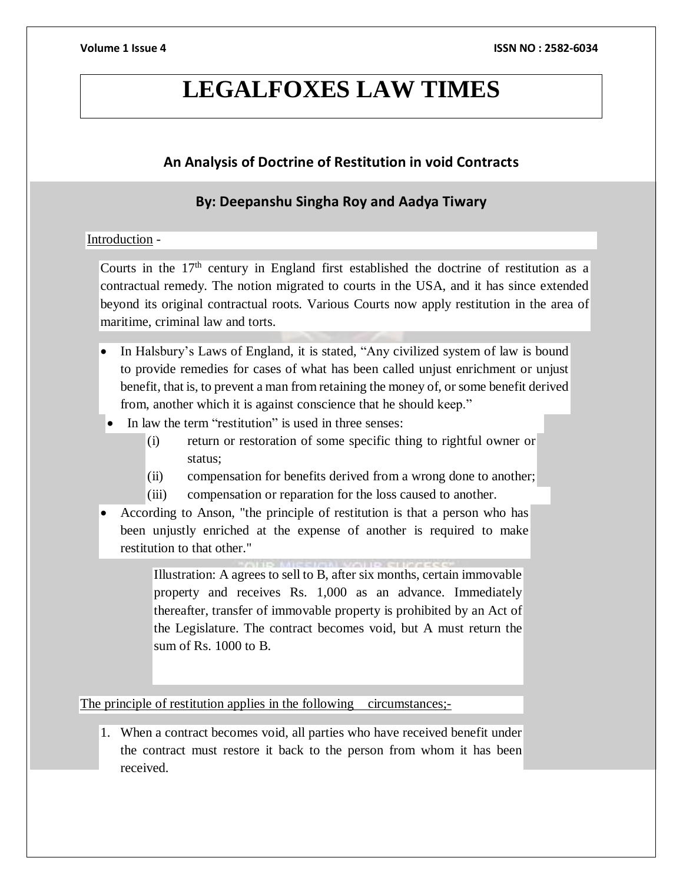# **LEGALFOXES LAW TIMES**

# **An Analysis of Doctrine of Restitution in void Contracts**

# **By: Deepanshu Singha Roy and Aadya Tiwary**

### Introduction -

Courts in the  $17<sup>th</sup>$  century in England first established the doctrine of restitution as a contractual remedy. The notion migrated to courts in the USA, and it has since extended beyond its original contractual roots. Various Courts now apply restitution in the area of maritime, criminal law and torts.

- In Halsbury's Laws of England, it is stated, "Any civilized system of law is bound to provide remedies for cases of what has been called unjust enrichment or unjust benefit, that is, to prevent a man from retaining the money of, or some benefit derived from, another which it is against conscience that he should keep."
- In law the term "restitution" is used in three senses:
	- (i) return or restoration of some specific thing to rightful owner or status;
	- (ii) compensation for benefits derived from a wrong done to another;
	- (iii) compensation or reparation for the loss caused to another.
- According to Anson, "the principle of restitution is that a person who has been unjustly enriched at the expense of another is required to make restitution to that other."

Illustration: A agrees to sell to B, after six months, certain immovable property and receives Rs. 1,000 as an advance. Immediately thereafter, transfer of immovable property is prohibited by an Act of the Legislature. The contract becomes void, but A must return the sum of Rs. 1000 to B.

The principle of restitution applies in the following circumstances;-

1. When a contract becomes void, all parties who have received benefit under the contract must restore it back to the person from whom it has been received.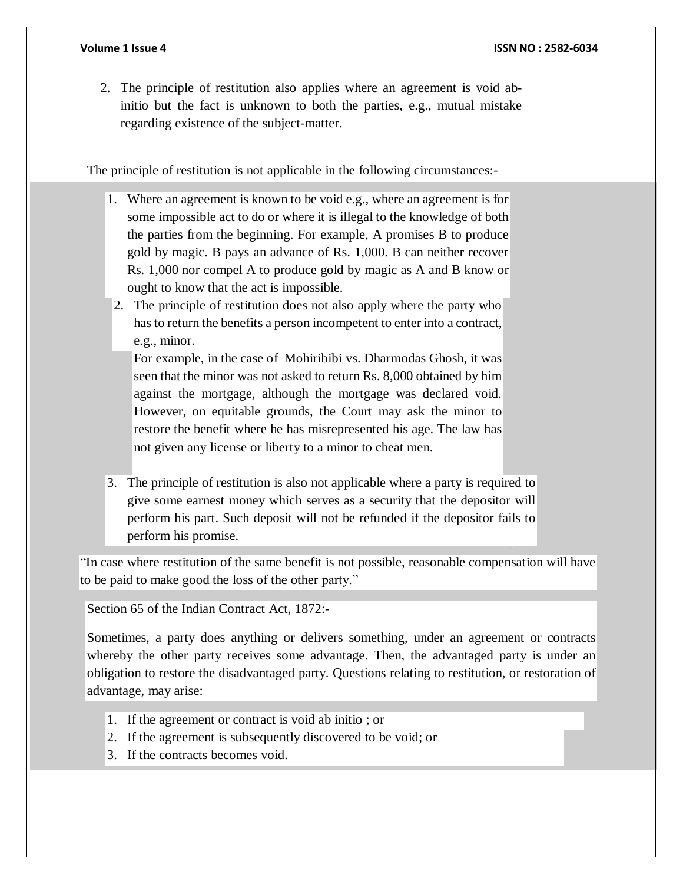2. The principle of restitution also applies where an agreement is void abinitio but the fact is unknown to both the parties, e.g., mutual mistake regarding existence of the subject-matter.

The principle of restitution is not applicable in the following circumstances:-

- 1. Where an agreement is known to be void e.g., where an agreement is for some impossible act to do or where it is illegal to the knowledge of both the parties from the beginning. For example, A promises B to produce gold by magic. B pays an advance of Rs. 1,000. B can neither recover Rs. 1,000 nor compel A to produce gold by magic as A and B know or ought to know that the act is impossible.
- 2. The principle of restitution does not also apply where the party who hasto return the benefits a person incompetent to enter into a contract, e.g., minor.

For example, in the case of Mohiribibi vs. Dharmodas Ghosh, it was seen that the minor was not asked to return Rs. 8,000 obtained by him against the mortgage, although the mortgage was declared void. However, on equitable grounds, the Court may ask the minor to restore the benefit where he has misrepresented his age. The law has not given any license or liberty to a minor to cheat men.

3. The principle of restitution is also not applicable where a party is required to give some earnest money which serves as a security that the depositor will perform his part. Such deposit will not be refunded if the depositor fails to perform his promise.

"In case where restitution of the same benefit is not possible, reasonable compensation will have to be paid to make good the loss of the other party."

Section 65 of the Indian Contract Act, 1872:-

Sometimes, a party does anything or delivers something, under an agreement or contracts whereby the other party receives some advantage. Then, the advantaged party is under an obligation to restore the disadvantaged party. Questions relating to restitution, or restoration of advantage, may arise:

- 1. If the agreement or contract is void ab initio ; or
- 2. If the agreement is subsequently discovered to be void; or
- 3. If the contracts becomes void.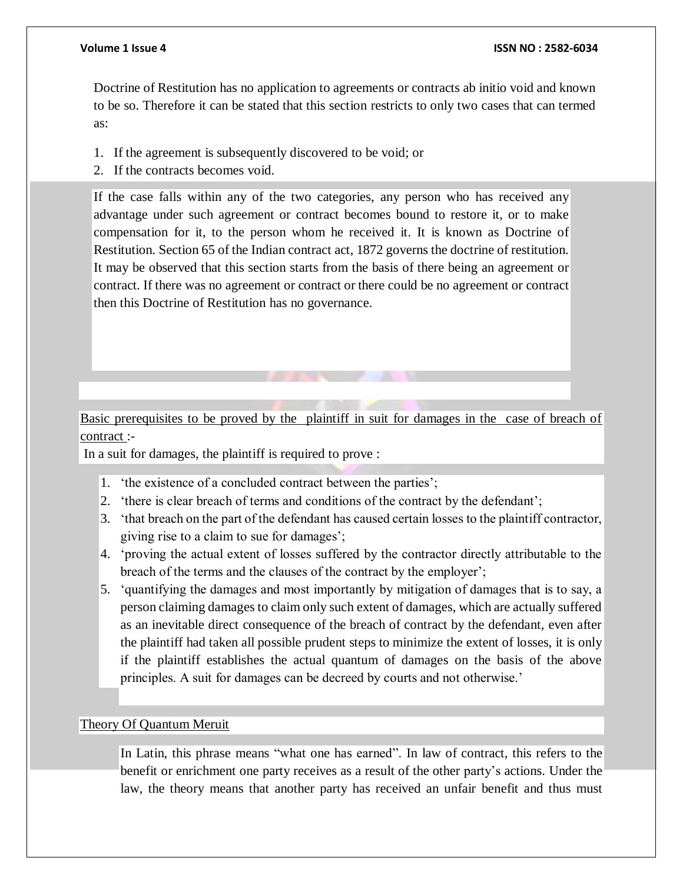#### **Volume 1 Issue 4 ISSN NO : 2582-6034**

Doctrine of Restitution has no application to agreements or contracts ab initio void and known to be so. Therefore it can be stated that this section restricts to only two cases that can termed as:

- 1. If the agreement is subsequently discovered to be void; or
- 2. If the contracts becomes void.

If the case falls within any of the two categories, any person who has received any advantage under such agreement or contract becomes bound to restore it, or to make compensation for it, to the person whom he received it. It is known as Doctrine of Restitution. Section 65 of the Indian contract act, 1872 governs the doctrine of restitution. It may be observed that this section starts from the basis of there being an agreement or contract. If there was no agreement or contract or there could be no agreement or contract then this Doctrine of Restitution has no governance.

# Basic prerequisites to be proved by the plaintiff in suit for damages in the case of breach of contract :-

In a suit for damages, the plaintiff is required to prove :

- 1. 'the existence of a concluded contract between the parties';
- 2. 'there is clear breach of terms and conditions of the contract by the defendant';
- 3. 'that breach on the part of the defendant has caused certain losses to the plaintiff contractor, giving rise to a claim to sue for damages';
- 4. 'proving the actual extent of losses suffered by the contractor directly attributable to the breach of the terms and the clauses of the contract by the employer';
- 5. 'quantifying the damages and most importantly by mitigation of damages that is to say, a person claiming damages to claim only such extent of damages, which are actually suffered as an inevitable direct consequence of the breach of contract by the defendant, even after the plaintiff had taken all possible prudent steps to minimize the extent of losses, it is only if the plaintiff establishes the actual quantum of damages on the basis of the above principles. A suit for damages can be decreed by courts and not otherwise.'

## Theory Of Quantum Meruit

In Latin, this phrase means "what one has earned". In law of contract, this refers to the benefit or enrichment one party receives as a result of the other party's actions. Under the law, the theory means that another party has received an unfair benefit and thus must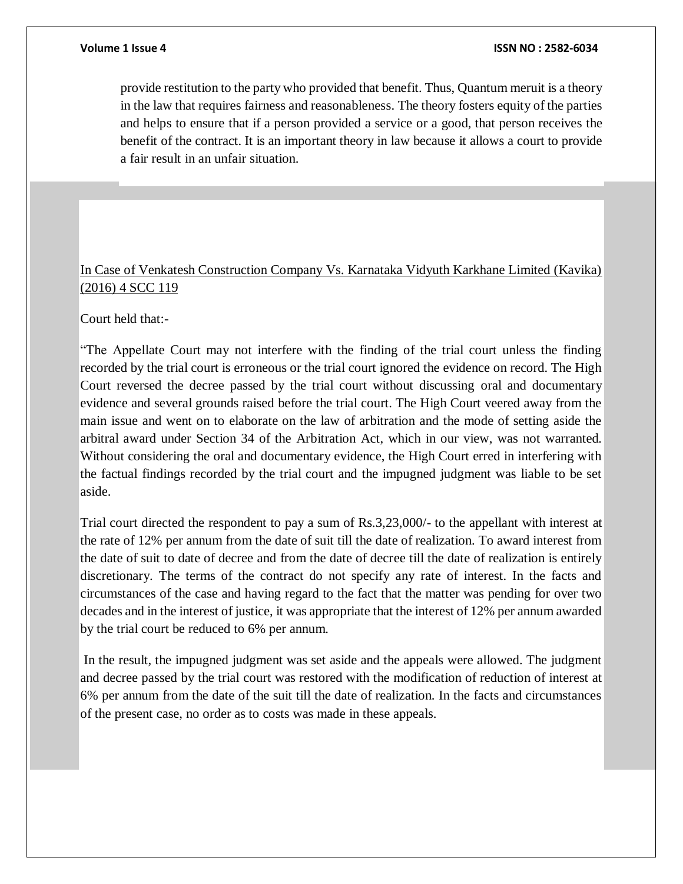provide restitution to the party who provided that benefit. Thus, Quantum meruit is a theory in the law that requires fairness and reasonableness. The theory fosters equity of the parties and helps to ensure that if a person provided a service or a good, that person receives the benefit of the contract. It is an important theory in law because it allows a court to provide a fair result in an unfair situation.

# In Case of Venkatesh Construction Company Vs. Karnataka Vidyuth Karkhane Limited (Kavika) (2016) 4 SCC 119

Court held that:-

"The Appellate Court may not interfere with the finding of the trial court unless the finding recorded by the trial court is erroneous or the trial court ignored the evidence on record. The High Court reversed the decree passed by the trial court without discussing oral and documentary evidence and several grounds raised before the trial court. The High Court veered away from the main issue and went on to elaborate on the law of arbitration and the mode of setting aside the arbitral award under Section 34 of the Arbitration Act, which in our view, was not warranted. Without considering the oral and documentary evidence, the High Court erred in interfering with the factual findings recorded by the trial court and the impugned judgment was liable to be set aside.

Trial court directed the respondent to pay a sum of Rs.3,23,000/- to the appellant with interest at the rate of 12% per annum from the date of suit till the date of realization. To award interest from the date of suit to date of decree and from the date of decree till the date of realization is entirely discretionary. The terms of the contract do not specify any rate of interest. In the facts and circumstances of the case and having regard to the fact that the matter was pending for over two decades and in the interest of justice, it was appropriate that the interest of 12% per annum awarded by the trial court be reduced to 6% per annum.

In the result, the impugned judgment was set aside and the appeals were allowed. The judgment and decree passed by the trial court was restored with the modification of reduction of interest at 6% per annum from the date of the suit till the date of realization. In the facts and circumstances of the present case, no order as to costs was made in these appeals.